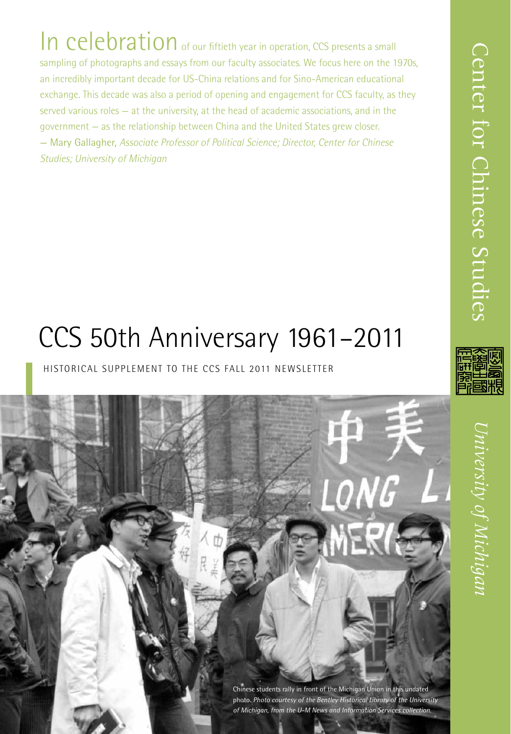In celebration of our fiftieth year in operation, CCS presents a small sampling of photographs and essays from our faculty associates. We focus here on the 1970s, an incredibly important decade for US-China relations and for Sino-American educational exchange. This decade was also a period of opening and engagement for CCS faculty, as they served various roles — at the university, at the head of academic associations, and in the government — as the relationship between China and the United States grew closer. — Mary Gallagher, *Associate Professor of Political Science; Director, Center for Chinese Studies; University of Michigan*

# CCS 50th Anniversary 1961–2011

### HISTORICAL SUPPLEMENT TO THE CCS FALL 2011 NEWSLETTER

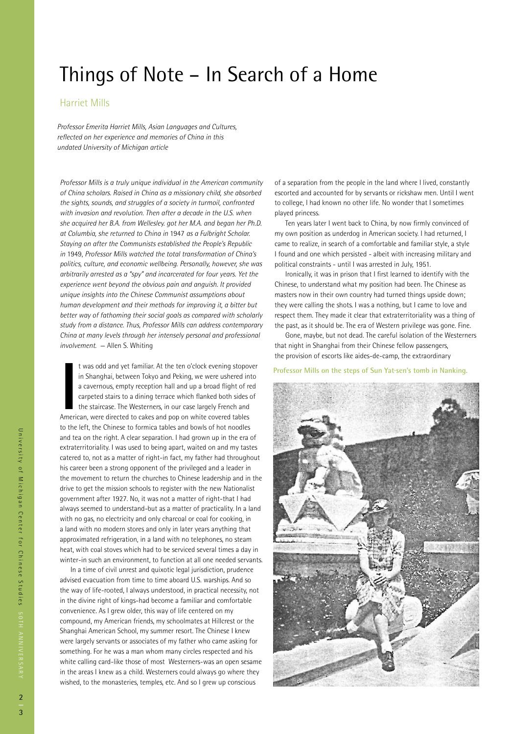## Things of Note – In Search of a Home

#### Harriet Mills

*Professor Emerita Harriet Mills, Asian Languages and Cultures, reflected on her experience and memories of China in this undated University of Michigan article*

*Professor Mills is a truly unique individual in the American community of China scholars. Raised in China as a missionary child, she absorbed the sights, sounds, and struggles of a society in turmoil, confronted with invasion and revolution. Then after a decade in the U.S. when she acquired her B.A. from Wellesley. got her M.A. and began her Ph.D. at Columbia, she returned to China in* 1947 *as a Fulbright Scholar. Staying on after the Communists established the People's Republic in* 1949, *Professor Mills watched the total transformation of China's politics, culture, and economic wellbeing. Personally, however, she was arbitrarily arrested as a "spy" and incarcerated for four years. Yet the experience went beyond the obvious pain and anguish. It provided unique insights into the Chinese Communist assumptions about human development and their methods for improving it, a bitter but better way of fathoming their social goals as compared with scholarly study from a distance. Thus, Professor Mills can address contemporary China at many levels through her intensely personal and professional involvement.* — Allen S. Whiting

If was odd and yet familiar. At the ten o'clock evening stopov in Shanghai, between Tokyo and Peking, we were ushered in a cavernous, empty reception hall and up a broad flight of recarpeted stairs to a dining terrace whic t was odd and yet familiar. At the ten o'clock evening stopover in Shanghai, between Tokyo and Peking, we were ushered into a cavernous, empty reception hall and up a broad flight of red carpeted stairs to a dining terrace which flanked both sides of the staircase. The Westerners, in our case largely French and to the left, the Chinese to formica tables and bowls of hot noodles and tea on the right. A clear separation. I had grown up in the era of extraterritoriality. I was used to being apart, waited on and my tastes catered to, not as a matter of right-in fact, my father had throughout his career been a strong opponent of the privileged and a leader in the movement to return the churches to Chinese leadership and in the drive to get the mission schools to register with the new Nationalist government after 1927. No, it was not a matter of right-that I had always seemed to understand-but as a matter of practicality. In a land with no gas, no electricity and only charcoal or coal for cooking, in a land with no modern stores and only in later years anything that approximated refrigeration, in a land with no telephones, no steam heat, with coal stoves which had to be serviced several times a day in winter-in such an environment, to function at all one needed servants.

 In a time of civil unrest and quixotic legal jurisdiction, prudence advised evacuation from time to time aboard U.S. warships. And so the way of life-rooted, I always understood, in practical necessity, not in the divine right of kings-had become a familiar and comfortable convenience. As I grew older, this way of life centered on my compound, my American friends, my schoolmates at Hillcrest or the Shanghai American School, my summer resort. The Chinese I knew were largely servants or associates of my father who came asking for something. For he was a man whom many circles respected and his white calling card-like those of most Westerners-was an open sesame in the areas I knew as a child. Westerners could always go where they wished, to the monasteries, temples, etc. And so I grew up conscious

of a separation from the people in the land where I lived, constantly escorted and accounted for by servants or rickshaw men. Until I went to college, I had known no other life. No wonder that I sometimes played princess.

 Ten years later I went back to China, by now firmly convinced of my own position as underdog in American society. I had returned, I came to realize, in search of a comfortable and familiar style, a style I found and one which persisted - albeit with increasing military and political constraints - until I was arrested in July, 1951.

 Ironically, it was in prison that I first learned to identify with the Chinese, to understand what my position had been. The Chinese as masters now in their own country had turned things upside down; they were calling the shots. I was a nothing, but I came to love and respect them. They made it clear that extraterritoriality was a thing of the past, as it should be. The era of Western privilege was gone. Fine.

Gone, maybe, but not dead. The careful isolation of the Westerners that night in Shanghai from their Chinese fellow passengers, the provision of escorts like aides-de-camp, the extraordinary

**Professor Mills on the steps of Sun Yat·sen's tomb in Nanking.** 

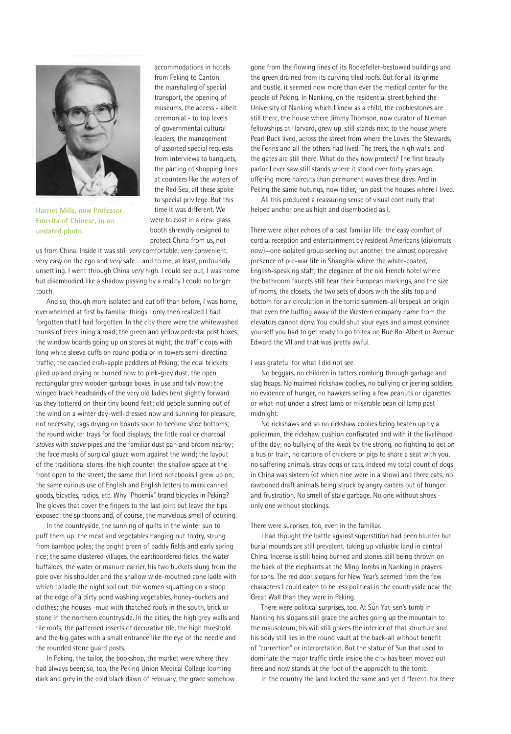

**Harriet Mills, now Professor Emerita of Chinese, in an undated photo.** 

accommodations in hotels from Peking to Canton, the marshaling of special transport, the opening of museums, the access - albeit ceremonial - to top levels of governmental cultural leaders, the management of assorted special requests from interviews to banquets, the parting of shopping lines at counters like the waters of the Red Sea, all these spoke to special privilege. But this time it was different. We were to exist in a clear glass booth shrewdly designed to protect China from us, not

us from China. Inside it was still *very* comfortable, *very* convenient, very easy on the ego and *very* safe.... and to me, at least, profoundly unsettling. I went through China *very* high. I could see out, I was home but disembodied like a shadow passing by a reality I could no longer touch.

And so, though more isolated and cut off than before, I was home, overwhelmed at first by familiar things I only then realized I had forgotten that I had forgotten. In the city there were the whitewashed trunks of trees lining a road; the green and yellow pedestal post boxes; the window boards going up on stores at night; the traffic cops with long white sleeve cuffs on round podia or in towers semi-directing traffic; the candied crab-apple peddlers of Peking; the coal brickets piled up and drying or burned now to pink-grey dust; the open rectangular grey wooden garbage boxes, in use and tidy now; the winged black headbands of the very old ladies bent slightly forward as they tottered on their tiny bound feet; old people sunning out of the wind on a winter day-well-dressed now and sunning for pleasure, not necessity; rags drying on boards soon to become shoe bottoms; the round wicker trays for food displays; the little coal or charcoal *stoves* with *stove* pipes and the familiar dust pan and broom nearby; the face masks of surgical gauze worn against the wind; the layout of the traditional stores-the high counter, the shallow space at the front open to the street; the same thin lined notebooks I grew up on; the same curious use of English and English letters to mark canned goods, bicycles, radios, etc. Why "Phoenix" brand bicycles in Peking? The gloves that cover the fingers to the last joint but leave the tips exposed; the spittoons and, of course, the marvelous smell of cooking.

 In the countryside, the sunning of quilts in the winter sun to puff them up; the meat and vegetables hanging out to dry, strung from bamboo poles; the bright green of paddy fields and early spring rice; the same clustered villages, the earthbordered fields, the water buffaloes, the water or manure carrier, his two buckets slung from the pole over his shoulder and the shallow wide-mouthed cone ladle with which to ladle the night soil out; the women squatting on a stoop at the edge of a dirty pond washing vegetables, honey-buckets and clothes; the houses -mud with thatched roofs in the south, brick or stone in the northern countryside. In the cities, the high grey walls and tile roofs, the patterned inserts of decorative tile, the high threshold and the big gates with a small entrance like the eye of the needle and the rounded stone guard posts.

 In Peking, the tailor, the bookshop, the market were where they had always been; so, too, the Peking Union Medical College looming dark and grey in the cold black dawn of February, the grace somehow gone from the flowing lines of its Rockefeller-bestowed buildings and the green drained from its curving tiled roofs. But for all its grime and bustle, it seemed now more than ever the medical center for the people of Peking. In Nanking, on the residential street behind the University of Nanking which I knew as a child, the cobblestones are still there, the house where Jimmy Thomson, now curator of Nieman fellowships at Harvard, grew up, still stands next to the house where Pearl Buck lived, across the street from where the Loves, the Stewards, the Fenns and all the others had lived. The trees, the high walls, and the gates arc still there. What do they now protect? The first beauty parlor I ever saw still stands where it stood over forty years ago, offering more haircuts than permanent waves these days. And in Peking the same hutungs, now tidier, run past the houses where I lived.

All this produced a reassuring sense of visual continuity that helped anchor one as high and disembodied as I.

There were other echoes of a past familiar life: the easy comfort of cordial reception and entertainment by resident Americans (diplomats now)—one isolated group seeking out another, the almost oppressive presence of pre-war life in Shanghai where the white-coated, English-speaking staff, the elegance of the old French hotel where the bathroom faucets still bear their European markings, and the size of rooms, the closets, the two sets of doors with the slits top and bottom for air circulation in the torrid summers-all bespeak an origin that even the buffing away of the Western company name from the elevators cannot deny. You could shut your eyes and almost convince yourself you had to get ready to go to tea on Rue Roi Albert or Avenue Edward the VII and that was pretty awful.

#### I was grateful for what I did not see.

 No beggars, no children in tatters combing through garbage and slag heaps. No maimed rickshaw coolies, no bullying or jeering soldiers, no evidence of hunger, no hawkers selling a few peanuts or cigarettes or what-not under a street lamp or miserable bean oil lamp past midnight.

 No rickshaws and so no rickshaw coolies being beaten up by a policeman, the rickshaw cushion confiscated and with it the livelihood of the day; no bullying of the weak by the strong, no fighting to get on a bus or train, no cartons of chickens or pigs to share a seat with you, no suffering animals, stray dogs or cats. Indeed my total count of dogs in China was sixteen (of which nine were in a show) and three cats; no rawboned draft animals being struck by angry carters out of hunger and frustration. No smell of stale garbage. No one without shoes only one without stockings.

There were surprises, too, even in the familiar.

 I had thought the battle against superstition had been blunter but burial mounds are still prevalent, taking up valuable land in central China. Incense is still being burned and stones still being thrown on the back of the elephants at the Ming Tombs in Nanking in prayers for sons. The red door slogans for New Year's seemed from the few characters I could catch to be less political in the countryside near the Great Wall than they were in Peking.

 There were political surprises, too. At Sun Yat-sen's tomb in Nanking his slogans still grace the arches going up the mountain to the mausoleum; his will still graces the interior of that structure and his body still lies in the round vault at the back-all without benefit of "correction" or interpretation. But the statue of Sun that used to dominate the major traffic circle inside the city has been moved out here and now stands at the foot of the approach to the tomb.

In the country the land looked the same and yet different, for there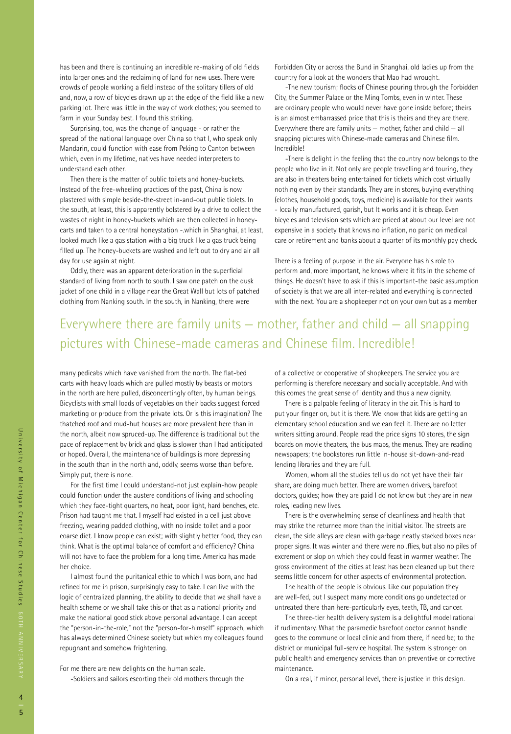has been and there is continuing an incredible re-making of old fields into larger ones and the reclaiming of land for new uses. There were crowds of people working a field instead of the solitary tillers of old and, now, a row of bicycles drawn up at the edge of the field like a new parking lot. There was little in the way of work clothes; you seemed to farm in your Sunday best. I found this striking.

Surprising, too, was the change of language - or rather the spread of the national language over China so that I, who speak only Mandarin, could function with ease from Peking to Canton between which, even in my lifetime, natives have needed interpreters to understand each other.

 Then there is the matter of public toilets and honey-buckets. Instead of the free-wheeling practices of the past, China is now plastered with simple beside-the-street in-and-out public tiolets. In the south, at least, this is apparently bolstered by a drive to collect the wastes of night in honey-buckets which are then collected in honeycarts and taken to a central honeystation -.which in Shanghai, at least, looked much like a gas station with a big truck like a gas truck being filled up. The honey-buckets are washed and left out to dry and air all day for use again at night.

 Oddly, there was an apparent deterioration in the superficial standard of living from north to south. I saw one patch on the dusk jacket of one child in a village near the Great Wall but lots of patched clothing from Nanking south. In the south, in Nanking, there were

Forbidden City or across the Bund in Shanghai, old ladies up from the country for a look at the wonders that Mao had wrought.

-The new tourism; flocks of Chinese pouring through the Forbidden City, the Summer Palace or the Ming Tombs, even in winter. These are ordinary people who would never have gone inside before; theirs is an almost embarrassed pride that this is theirs and they are there. Everywhere there are family units — mother, father and child — all snapping pictures with Chinese-made cameras and Chinese film. Incredible!

-There is delight in the feeling that the country now belongs to the people who live in it. Not only are people travelling and touring, they are also in theaters being entertained for tickets which cost virtually nothing even by their standards. They are in stores, buying everything (clothes, household goods, toys, medicine) is available for their wants - locally manufactured, garish, but It works and it is cheap. Even bicycles and television sets which are priced at about our level are not expensive in a society that knows no inflation, no panic on medical care or retirement and banks about a quarter of its monthly pay check.

There is a feeling of purpose in the air. Everyone has his role to perform and, more important, he knows where it fits in the scheme of things. He doesn't have to ask if this is important-the basic assumption of society is that we are all inter-related and everything is connected with the next. You are a shopkeeper not on your own but as a member

### Everywhere there are family units — mother, father and child — all snapping pictures with Chinese-made cameras and Chinese film. Incredible!

many pedicabs which have vanished from the north. The flat-bed carts with heavy loads which are pulled mostly by beasts or motors in the north are here pulled, disconcertingly often, by human beings. Bicyclists with small loads of vegetables on their backs suggest forced marketing or produce from the private lots. Or is this imagination? The thatched roof and mud-hut houses are more prevalent here than in the north, albeit now spruced-up. The difference is traditional but the pace of replacement by brick and glass is slower than I had anticipated or hoped. Overall, the maintenance of buildings is more depressing in the south than in the north and, oddly, seems worse than before. Simply put, there is none.

For the first time I could understand-not just explain-how people could function under the austere conditions of living and schooling which they face-tight quarters, no heat, poor light, hard benches, etc. Prison had taught me that. I myself had existed in a cell just above freezing, wearing padded clothing, with no inside toilet and a poor coarse diet. I know people can exist; with slightly better food, they can think. What is the optimal balance of comfort and efficiency? China will not have to face the problem for a long time. America has made her choice.

 I almost found the puritanical ethic to which I was born, and had refined for me in prison, surprisingly easy to take. I can live with the logic of centralized planning, the ability to decide that we shall have a health scheme or we shall take this or that as a national priority and make the national good stick above personal advantage. I can accept the "person-in-the-role," not the "person-for-himself" approach, which has always determined Chinese society but which my colleagues found repugnant and somehow frightening.

For me there are new delights on the human scale. -Soldiers and sailors escorting their old mothers through the of a collective or cooperative of shopkeepers. The service you are performing is therefore necessary and socially acceptable. And with this comes the great sense of identity and thus a new dignity.

 There is a palpable feeling of literacy in the air. This is hard to put your finger on, but it is there. We know that kids are getting an elementary school education and we can feel it. There are no letter writers sitting around. People read the price signs 10 stores, the sign boards on movie theaters, the bus maps, the menus. They are reading newspapers; the bookstores run little in-house sit-down-and-read lending libraries and they are full.

 Women, whom all the studies tell us do not yet have their fair share, are doing much better. There are women drivers, barefoot doctors, guides; how they are paid I do not know but they are in new roles, leading new lives.

 There is the overwhelming sense of cleanliness and health that may strike the returnee more than the initial visitor. The streets are clean, the side alleys are clean with garbage neatly stacked boxes near proper signs. It was winter and there were no .flies, but also no piles of excrement or slop on which they could feast in warmer weather. The gross environment of the cities at least has been cleaned up but there seems little concern for other aspects of environmental protection.

 The health of the people is obvious. Like our population they are well-fed, but I suspect many more conditions go undetected or untreated there than here-particularly eyes, teeth, TB, and cancer.

 The three-tier health delivery system is a delightful model rational if rudimentary. What the paramedic barefoot doctor cannot handle goes to the commune or local clinic and from there, if need be; to the district or municipal full-service hospital. The system is stronger on public health and emergency services than on preventive or corrective maintenance.

On a real, if minor, personal level, there is justice in this design.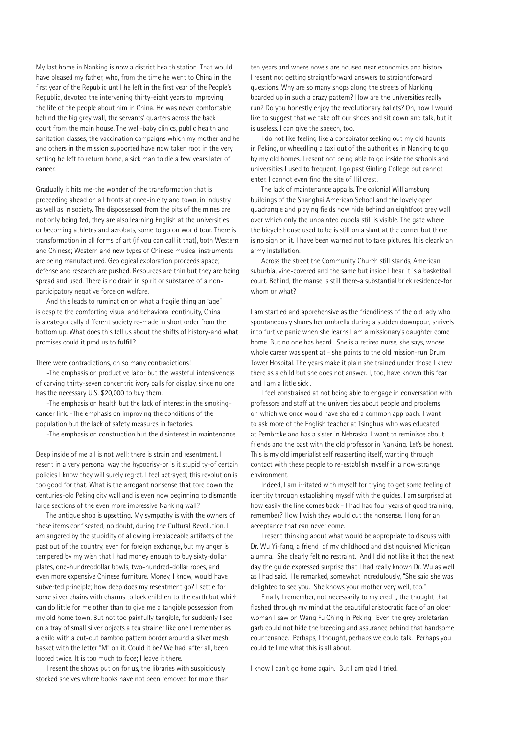My last home in Nanking is now a district health station. That would have pleased my father, who, from the time he went to China in the first year of the Republic until he left in the first year of the People's Republic, devoted the intervening thirty-eight years to improving the life of the people about him in China. He was never comfortable behind the big grey wall, the servants' quarters across the back court from the main house. The well-baby clinics, public health and sanitation classes, the vaccination campaigns which my mother and he and others in the mission supported have now taken root in the very setting he left to return home, a sick man to die a few years later of cancer.

Gradually it hits me-the wonder of the transformation that is proceeding ahead on all fronts at once-in city and town, in industry as well as in society. The dispossessed from the pits of the mines are not only being fed, they are also learning English at the universities or becoming athletes and acrobats, some to go on world tour. There is transformation in all forms of art (if you can call it that), both Western and Chinese; Western and new types of Chinese musical instruments are being manufactured. Geological exploration proceeds apace; defense and research are pushed. Resources are thin but they are being spread and used. There is no drain in spirit or substance of a nonparticipatory negative force on welfare.

And this leads to rumination on what a fragile thing an "age" is despite the comforting visual and behavioral continuity, China is a categorically different society re-made in short order from the bottom up. What does this tell us about the shifts of history-and what promises could it prod us to fulfill?

There were contradictions, oh so many contradictions!

-The emphasis on productive labor but the wasteful intensiveness of carving thirty-seven concentric ivory balls for display, since no one has the necessary U.S. \$20,000 to buy them.

-The emphasis on health but the lack of interest in the smokingcancer link. -The emphasis on improving the conditions of the population but the lack of safety measures in factories.

-The emphasis on construction but the disinterest in maintenance.

Deep inside of me all is not well; there is strain and resentment. I resent in a very personal way the hypocrisy-or is it stupidity-of certain policies I know they will surely regret. I feel betrayed; this revolution is too good for that. What is the arrogant nonsense that tore down the centuries-old Peking city wall and is even now beginning to dismantle large sections of the even more impressive Nanking wall?

 The antique shop is upsetting. My sympathy is with the owners of these items confiscated, no doubt, during the Cultural Revolution. I am angered by the stupidity of allowing irreplaceable artifacts of the past out of the country, even for foreign exchange, but my anger is tempered by my wish that I had money enough to buy sixty-dollar plates, one-hundreddollar bowls, two-hundred-dollar robes, and even more expensive Chinese furniture. Money, I know, would have subverted principle; how deep does my resentment go? I settle for some silver chains with charms to lock children to the earth but which can do little for me other than to give me a tangible possession from my old home town. But not too painfully tangible, for suddenly I see on a tray of small silver objects a tea strainer like one I remember as a child with a cut-out bamboo pattern border around a silver mesh basket with the letter "M" on it. Could it be? We had, after all, been looted twice. It is too much to face; I leave it there.

 I resent the shows put on for us, the libraries with suspiciously stocked shelves where books have not been removed for more than ten years and where novels are housed near economics and history. I resent not getting straightforward answers to straightforward questions. Why are so many shops along the streets of Nanking boarded up in such a crazy pattern? How are the universities really run? Do you honestly enjoy the revolutionary ballets? Oh, how I would like to suggest that we take off our shoes and sit down and talk, but it is useless. I can give the speech, too.

 I do not like feeling like a conspirator seeking out my old haunts in Peking, or wheedling a taxi out of the authorities in Nanking to go by my old homes. I resent not being able to go inside the schools and universities I used to frequent. I go past Ginling College but cannot enter. I cannot even find the site of Hillcrest.

 The lack of maintenance appalls. The colonial Williamsburg buildings of the Shanghai American School and the lovely open quadrangle and playing fields now hide behind an eightfoot grey wall over which only the unpainted cupola still is visible. The gate where the bicycle house used to be is still on a slant at the corner but there is no sign on it. I have been warned not to take pictures. It is clearly an army installation.

Across the street the Community Church still stands, American suburbia, vine-covered and the same but inside I hear it is a basketball court. Behind, the manse is still there-a substantial brick residence-for whom or what?

I am startled and apprehensive as the friendliness of the old lady who spontaneously shares her umbrella during a sudden downpour, shrivels into furtive panic when she learns I am a missionary's daughter come home. But no one has heard. She is a retired nurse, she says, whose whole career was spent at - she points to the old mission-run Drum Tower Hospital. The years make it plain she trained under those I knew there as a child but she does not answer. I, too, have known this fear and I am a little sick .

 I feel constrained at not being able to engage in conversation with professors and staff at the universities about people and problems on which we once would have shared a common approach. I want to ask more of the English teacher at Tsinghua who was educated at Pembroke and has a sister in Nebraska. I want to reminisce about friends and the past with the old professor in Nanking. Let's be honest. This is my old imperialist self reasserting itself, wanting through contact with these people to re-establish myself in a now-strange environment.

 Indeed, I am irritated with myself for trying to get some feeling of identity through establishing myself with the guides. I am surprised at how easily the line comes back - I had had four years of good training, remember? How I wish they would cut the nonsense. I long for an acceptance that can never come.

 I resent thinking about what would be appropriate to discuss with Dr. Wu Yi-fang, a friend of my childhood and distinguished Michigan alumna. She clearly felt no restraint. And I did not like it that the next day the guide expressed surprise that I had really known Dr. Wu as well as I had said. He remarked, somewhat incredulously, "She said she was delighted to see you. She knows your mother very well, too."

Finally I remember, not necessarily to my credit, the thought that flashed through my mind at the beautiful aristocratic face of an older woman I saw on Wang Fu Ching in Peking. Even the grey proletarian garb could not hide the breeding and assurance behind that handsome countenance. Perhaps, I thought, perhaps we could talk. Perhaps you could tell me what this is all about.

I know I can't go home again. But I am glad I tried.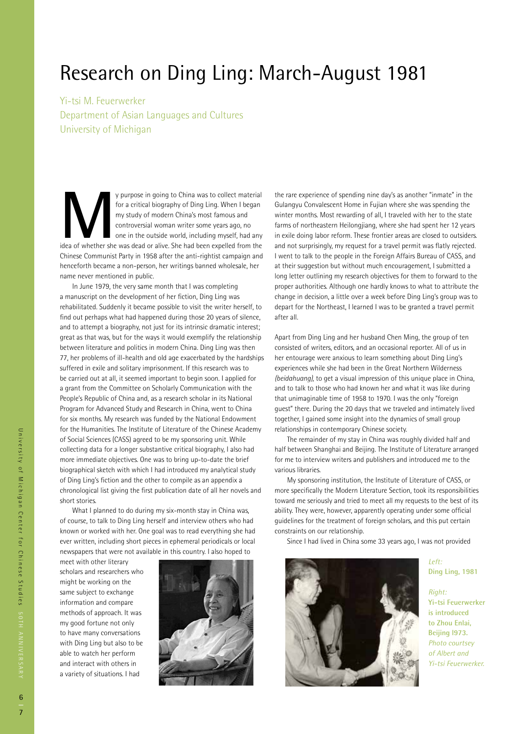## Research on Ding Ling: March-August 1981

Yi-tsi M. Feuerwerker Department of Asian Languages and Cultures University of Michigan

**Mullet She was dead or starting to China was to collect material**<br>
for a critical biography of Ding Ling. When I began<br>
my study of modern China's most famous and<br>
controversial woman writer some years ago, no<br>
one in the for a critical biography of Ding Ling. When I began my study of modern China's most famous and controversial woman writer some years ago, no one in the outside world, including myself, had any Chinese Communist Party in 1958 after the anti-rightist campaign and henceforth became a non-person, her writings banned wholesale, her name never mentioned in public.

 In June 1979, the very same month that I was completing a manuscript on the development of her fiction, Ding Ling was rehabilitated. Suddenly it became possible to visit the writer herself, to find out perhaps what had happened during those 20 years of silence, and to attempt a biography, not just for its intrinsic dramatic interest; great as that was, but for the ways it would exemplify the relationship between literature and politics in modern China. Ding Ling was then 77, her problems of ill-health and old age exacerbated by the hardships suffered in exile and solitary imprisonment. If this research was to be carried out at all, it seemed important to begin soon. I applied for a grant from the Committee on Scholarly Communication with the People's Republic of China and, as a research scholar in its National Program for Advanced Study and Research in China, went to China for six months. My research was funded by the National Endowment for the Humanities. The Institute of Literature of the Chinese Academy of Social Sciences (CASS) agreed to be my sponsoring unit. While collecting data for a longer substantive critical biography, I also had more immediate objectives. One was to bring up-to-date the brief biographical sketch with which I had introduced my analytical study of Ding Ling's fiction and the other to compile as an appendix a chronological list giving the first publication date of all her novels and short stories.

 What I planned to do during my six-month stay in China was, of course, to talk to Ding Ling herself and interview others who had known or worked with her. One goal was to read everything she had ever written, including short pieces in ephemeral periodicals or local newspapers that were not available in this country. I also hoped to

meet with other literary scholars and researchers who might be working on the same subject to exchange information and compare methods of approach. It was my good fortune not only to have many conversations with Ding Ling but also to be able to watch her perform and interact with others in a variety of situations. I had



the rare experience of spending nine day's as another "inmate" in the Gulangyu Convalescent Home in Fujian where she was spending the winter months. Most rewarding of all, I traveled with her to the state farms of northeastern Heilongjiang, where she had spent her 12 years in exile doing labor reform. These frontier areas are closed to outsiders. and not surprisingly, my request for a travel permit was flatly rejected. I went to talk to the people in the Foreign Affairs Bureau of CASS, and at their suggestion but without much encouragement, I submitted a long letter outlining my research objectives for them to forward to the proper authorities. Although one hardly knows to what to attribute the change in decision, a little over a week before Ding Ling's group was to depart for the Northeast, I learned I was to be granted a travel permit after all.

Apart from Ding Ling and her husband Chen Ming, the group of ten consisted of writers, editors, and an occasional reporter. All of us in her entourage were anxious to learn something about Ding Ling's experiences while she had been in the Great Northern Wilderness *(beidahuang),* to get a visual impression of this unique place in China, and to talk to those who had known her and what it was like during that unimaginable time of 1958 to 1970. I was the only "foreign guest" there. During the 20 days that we traveled and intimately lived together, I gained some insight into the dynamics of small group relationships in contemporary Chinese society.

 The remainder of my stay in China was roughly divided half and half between Shanghai and Beijing. The Institute of Literature arranged for me to interview writers and publishers and introduced me to the various libraries.

 My sponsoring institution, the Institute of Literature of CASS, or more specifically the Modern Literature Section, took its responsibilities toward me seriously and tried to meet all my requests to the best of its ability. They were, however, apparently operating under some official guidelines for the treatment of foreign scholars, and this put certain constraints on our relationship.

Since I had lived in China some 33 years ago, I was not provided



*Left:* **Ding Ling, 1981** 

*Right:* **Yi-tsi Feuerwerker is introduced to Zhou Enlai, Beijing l973.**  *Photo courtsey of Albert and Yi-tsi Feuerwerker.*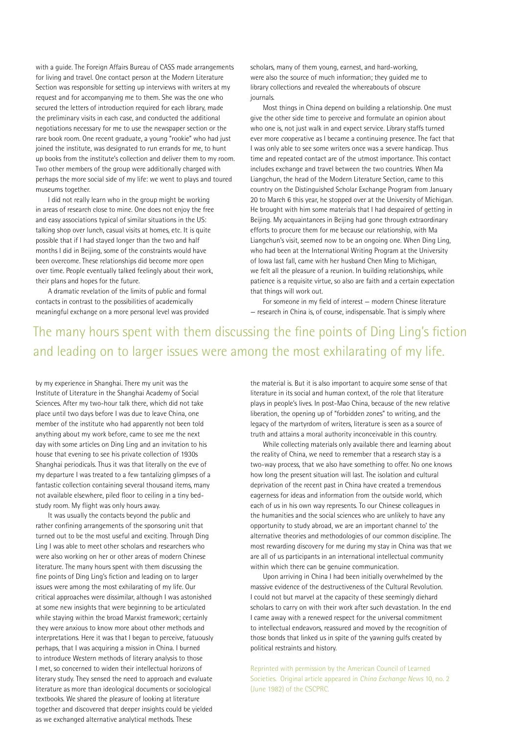with a guide. The Foreign Affairs Bureau of CASS made arrangements for living and travel. One contact person at the Modern Literature Section was responsible for setting up interviews with writers at my request and for accompanying me to them. She was the one who secured the letters of introduction required for each library, made the preliminary visits in each case, and conducted the additional negotiations necessary for me to use the newspaper section or the rare book room. One recent graduate, a young "rookie" who had just joined the institute, was designated to run errands for me, to hunt up books from the institute's collection and deliver them to my room. Two other members of the group were additionally charged with perhaps the more social side of my life: we went to plays and toured museums together.

 I did not really learn who in the group might be working in areas of research close to mine. One does not enjoy the free and easy associations typical of similar situations in the US: talking shop over lunch, casual visits at homes, etc. It is quite possible that if I had stayed longer than the two and half months I did in Beijing, some of the constraints would have been overcome. These relationships did become more open over time. People eventually talked feelingly about their work, their plans and hopes for the future.

A dramatic revelation of the limits of public and formal contacts in contrast to the possibilities of academically meaningful exchange on a more personal level was provided scholars, many of them young, earnest, and hard-working, were also the source of much information; they guided me to library collections and revealed the whereabouts of obscure journals.

 Most things in China depend on building a relationship. One must give the other side time to perceive and formulate an opinion about who one is, not just walk in and expect service. Library staffs turned ever more *co*operative as I became a continuing presence. The fact that I was only able to see some writers once was a severe handicap. Thus time and repeated contact are of the utmost importance. This contact includes exchange and travel between the two countries. When Ma Liangchun, the head of the Modern Literature Section, came to this country on the Distinguished Scholar Exchange Program from January 20 to March 6 this year, he stopped over at the University of Michigan. He brought with him some materials that I had despaired of getting in Beijing. My acquaintances in Beijing had gone through extraordinary efforts to procure them for me because our relationship, with Ma Liangchun's visit, seemed now to be an ongoing one. When Ding Ling, who had been at the International Writing Program at the University of Iowa last fall, came with her husband Chen Ming to Michigan, we felt all the pleasure of a reunion. In building relationships, while patience is a requisite virtue, so also are faith and a certain expectation that things will work out.

For someone in my field of interest — modern Chinese literature — research in China is, of course, indispensable. That is simply where

### The many hours spent with them discussing the fine points of Ding Ling's fiction and leading on to larger issues were among the most exhilarating of my life.

by my experience in Shanghai. There my unit was the Institute of Literature in the Shanghai Academy of Social Sciences. After my two-hour talk there, which did not take place until two days before I was due to leave China, one member of the institute who had apparently not been told anything about my work before, came to see me the next day with some articles on Ding Ling and an invitation to his house that evening to see his private collection of 1930s Shanghai periodicals. Thus it was that literally on the eve of my departure I was treated to a few tantalizing glimpses of a fantastic collection containing several thousand items, many not available elsewhere, piled floor to ceiling in a tiny bedstudy room. My flight was only hours away.

 It was usually the contacts beyond the public and rather confining arrangements of the sponsoring unit that turned out to be the most useful and exciting. Through Ding Ling I was able to meet other scholars and researchers who were also working on her or other areas of modern Chinese literature. The many hours spent with them discussing the fine points of Ding Ling's fiction and leading on to larger issues were among the most exhilarating of my life. Our critical approaches were dissimilar, although I was astonished at some new insights that were beginning to be articulated while staying within the broad Marxist framework; certainly they were anxious to know more about other methods and interpretations. Here it was that I began to perceive, fatuously perhaps, that I was acquiring a mission in China. I burned to introduce Western methods of literary analysis to those I met, so concerned to widen their intellectual horizons of literary study. They sensed the need to approach and evaluate literature as more than ideological documents or sociological textbooks. We shared the pleasure of looking at literature together and discovered that deeper insights could be yielded as we exchanged alternative analytical methods. These

the material is. But it is also important to acquire some sense of that literature in its social and human context, of the role that literature plays in people's lives. In post-Mao China, because of the new relative liberation, the opening up of "forbidden zones" to writing, and the legacy of the martyrdom of writers, literature is seen as a source of truth and attains a moral authority inconceivable in this country.

 While collecting materials only available there and learning about the reality of China, we need to remember that a research stay is a two-way process, that we also have something to offer. No one knows how long the present situation will last. The isolation and cultural deprivation of the recent past in China have created a tremendous eagerness for ideas and information from the outside world, which each of us in his own way represents. To our Chinese colleagues in the humanities and the social sciences who are unlikely to have any opportunity to study abroad, we are an important channel to' the alternative theories and methodologies of our common discipline. The most rewarding discovery for me during my stay in China was that we are all of us participants in an international intellectual community within which there can be genuine communication.

 Upon arriving in China I had been initially overwhelmed by the massive evidence of the destructiveness of the Cultural Revolution. I could not but marvel at the capacity of these seemingly diehard scholars to carry on with their work after such devastation. In the end I came away with a renewed respect for the universal commitment to intellectual endeavors, reassured and moved by the recognition of those bonds that linked us in spite of the yawning gulfs created by political restraints and history.

Reprinted with permission by the American Council of Learned Societies. Original article appeared in *China Exchange News* 10, no. 2 (June 1982) of the CSCPRC.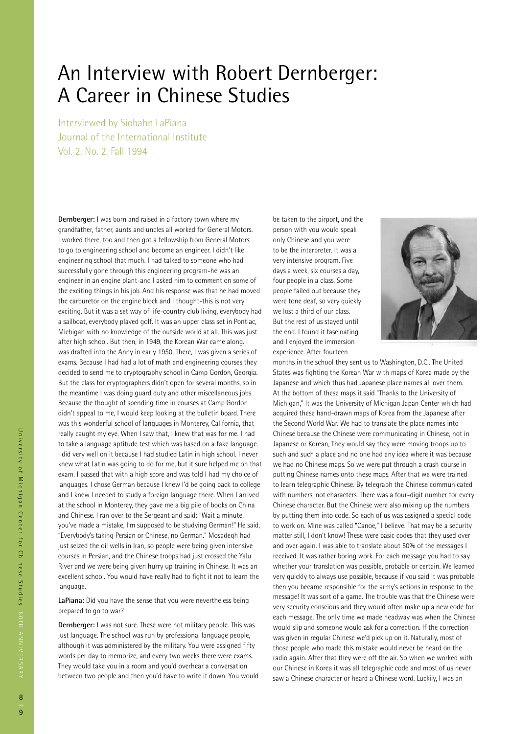## An Interview with Robert Dernberger: A Career in Chinese Studies

Interviewed by Siobahn LaPiana Journal of the International Institute Vol. 2, No. 2, Fall 1994

**Dernberger:** I was born and raised in a factory town where my grandfather, father, aunts and uncles all worked for General Motors. I worked there, too and then got a fellowship from General Motors to go to engineering school and become an engineer. I didn't like engineering school that much. I had talked to someone who had successfully gone through this engineering program-he was an engineer in an engine plant-and I asked him to comment on some of the exciting things in his job. And his response was that he had moved the carburetor on the engine block and I thought-this is not very exciting. But it was a set way of life-country club living, everybody had a sailboat, everybody played golf. It was an upper class set in Pontiac, Michigan with no knowledge of the outside world at all. This was just after high school. But then, in 1949, the Korean War came along. I was drafted into the Anny in early 1950. There, I was given a series of exams. Because I had had a lot of math and engineering courses they decided to send me to cryptography school in Camp Gordon, Georgia. But the class for cryptographers didn't open for several months, so in the meantime I was doing guard duty and other miscellaneous jobs. Because the thought of spending time in courses at Camp Gordon didn't appeal to me, I would keep looking at the bulletin board. There was this wonderful school of languages in Monterey, California, that really caught my eye. When I saw that, I knew that was for me. I had to take a language aptitude test which was based on a fake language. I did very well on it because I had studied Latin in high school. I never knew what Latin was going to do for me, but it sure helped me on that exam. I passed that with a high score and was told I had my choice of languages. I chose German because I knew I'd be going back to college and I knew I needed to study a foreign language there. When I arrived at the school in Monterey, they gave me a big pile of books on China and Chinese. I ran over to the Sergeant and said: "Wait a minute, you've made a mistake, I'm supposed to be studying German!" He said, "Everybody's taking Persian or Chinese, no German." Mosadegh had just seized the oil wells in Iran, so people were being given intensive courses in Persian, and the Chinese troops had just crossed the Yalu River and we were being given hurry up training in Chinese. It was an excellent school. You would have really had to fight it not to learn the language.

**LaPiana:** Did you have the sense that you were nevertheless being prepared to go to war?

**Dernberger:** I was not sure. These were not military people. This was just language. The school was run by professional language people, although it was administered by the military. You were assigned fifty words per day to memorize, and every two weeks there were exams. They would take you in a room and you'd overhear a conversation between two people and then you'd have to write it down. You would be taken to the airport, and the person with you would speak only Chinese and you were to be the interpreter. It was a very intensive program. Five days a week, six courses a day, four people in a class. Some people failed out because they were tone deaf, so very quickly we lost a third of our class. But the rest of us stayed until the end. I found it fascinating and I enjoyed the immersion experience. After fourteen



months in the school they sent us to Washington, D.C.. The United States was fighting the Korean War with maps of Korea made by the Japanese and which thus had Japanese place names all over them. At the bottom of these maps it said "Thanks to the University of Michigan," It was the University of Michigan Japan Center which had acquired these hand-drawn maps of Korea from the Japanese after the Second World War. We had to translate the place names into Chinese because the Chinese were communicating in Chinese, not in Japanese or Korean, They would say they were moving troops up to such and such a place and no one had any idea where it was because we had no Chinese maps. So we were put through a crash course in putting Chinese names onto these maps. After that we were trained to learn telegraphic Chinese. By telegraph the Chinese communicated with numbers, not characters. There was a four-digit number for every Chinese character. But the Chinese were also mixing up the numbers by putting them into code. So each of us was assigned a special code to work on. Mine was called "Canoe," I believe. That may be a security matter still, I don't know! These were basic codes that they used over and over again. I was able to translate about 50% of the messages I received. It was rather boring work. For each message you had to say whether your translation was possible, probable or certain. We learned very quickly to always use possible, because if you said it was probable then you became responsible for the army's actions in response to the message! It was sort of a game. The trouble was that the Chinese were very security conscious and they would often make up a new code for each message. The only time we made headway was when the Chinese would slip and someone would ask for a correction. If the correction was given in regular Chinese we'd pick up on it. Naturally, most of those people who made this mistake would never be heard on the radio again. After that they were off the air. So when we worked with our Chinese in Korea it was all telegraphic code and most of us never saw a Chinese character or heard a Chinese word. Luckily, I was an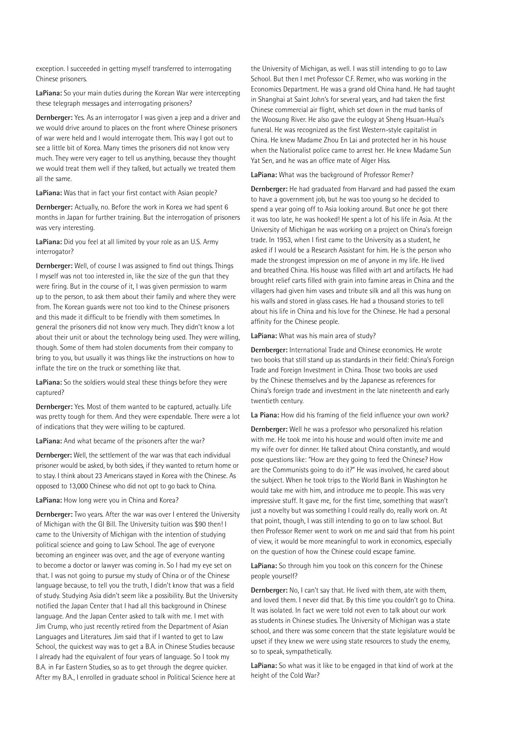exception. I succeeded in getting myself transferred to interrogating Chinese prisoners.

**LaPiana:** So your main duties during the Korean War were intercepting these telegraph messages and interrogating prisoners?

**Dernberger:** Yes. As an interrogator I was given a jeep and a driver and we would drive around to places on the front where Chinese prisoners of war were held and I would interrogate them. This way I got out to see a little bit of Korea. Many times the prisoners did not know very much. They were very eager to tell us anything, because they thought we would treat them well if they talked, but actually we treated them all the same.

**LaPiana:** Was that in fact your first contact with Asian people?

**Dernberger:** Actually, no. Before the work in Korea we had spent 6 months in Japan for further training. But the interrogation of prisoners was very interesting.

**LaPiana:** Did you feel at all limited by your role as an U.S. Army interrogator?

**Dernberger:** Well, of course I was assigned to find out things. Things I myself was not too interested in, like the size of the gun that they were firing. But in the course of it, I was given permission to warm up to the person, to ask them about their family and where they were from. The Korean guards were not too kind to the Chinese prisoners and this made it difficult to be friendly with them sometimes. In general the prisoners did not know very much. They didn't know a lot about their unit or about the technology being used. They were willing, though. Some of them had stolen documents from their company to bring to you, but usually it was things like the instructions on how to inflate the tire on the truck or something like that.

**LaPiana:** So the soldiers would steal these things before they were captured?

**Dernberger:** Yes. Most of them wanted to be captured, actually. Life was pretty tough for them. And they were expendable. There were a lot of indications that they were willing to be captured.

**LaPiana:** And what became of the prisoners after the war?

**Dernberger:** Well, the settlement of the war was that each individual prisoner would be asked, by both sides, if they wanted to return home or to stay. I think about 23 Americans stayed in Korea with the Chinese. As opposed to 13,000 Chinese who did not opt to go back to China.

**LaPiana:** How long were you in China and Korea?

**Dernberger:** Two years. After the war was over I entered the University of Michigan with the GI Bill. The University tuition was \$90 then! I came to the University of Michigan with the intention of studying political science and going to Law School. The age of everyone becoming an engineer was over, and the age of everyone wanting to become a doctor or lawyer was coming in. So I had my eye set on that. I was not going to pursue my study of China or of the Chinese language because, to tell you the truth, I didn't know that was a field of study. Studying Asia didn't seem like a possibility. But the University notified the Japan Center that I had all this background in Chinese language. And the Japan Center asked to talk with me. I met with Jim Crump, who just recently retired from the Department of Asian Languages and Literatures. Jim said that if I wanted to get to Law School, the quickest way was to get a B.A. in Chinese Studies because I already had the equivalent of four years of language. So I took my B.A. in Far Eastern Studies, so as to get through the degree quicker. After my B.A., I enrolled in graduate school in Political Science here at

the University of Michigan, as well. I was still intending to go to Law School. But then I met Professor C.F. Remer, who was working in the Economics Department. He was a grand old China hand. He had taught in Shanghai at Saint John's for several years, and had taken the first Chinese commercial air flight, which set down in the mud banks of the Woosung River. He also gave the eulogy at Sheng Hsuan-Huai's funeral. He was recognized as the first Western-style capitalist in China. He knew Madame Zhou En Lai and protected her in his house when the Nationalist police came to arrest her. He knew Madame Sun Yat Sen, and he was an office mate of Alger Hiss.

**LaPiana:** What was the background of Professor Remer?

**Dernberger:** He had graduated from Harvard and had passed the exam to have a government job, but he was too young so he decided to spend a year going off to Asia looking around. But once he got there it was too late, he was hooked! He spent a lot of his life in Asia. At the University of Michigan he was working on a project on China's foreign trade. In 1953, when I first came to the University as a student, he asked if I would be a Research Assistant for him. He is the person who made the strongest impression on me of anyone in my life. He lived and breathed China. His house was filled with art and artifacts. He had brought relief carts filled with grain into famine areas in China and the villagers had given him vases and tribute silk and all this was hung on his walls and stored in glass cases. He had a thousand stories to tell about his life in China and his love for the Chinese. He had a personal affinity for the Chinese people.

**LaPiana:** What was his main area of study?

**Dernberger:** International Trade and Chinese economics. He wrote two books that still stand up as standards in their field: China's Foreign Trade and Foreign Investment in China. Those two books are used by the Chinese themselves and by the Japanese as references for China's foreign trade and investment in the late nineteenth and early twentieth century.

**La Piana:** How did his framing of the field influence your own work?

**Dernberger:** Well he was a professor who personalized his relation with me. He took me into his house and would often invite me and my wife over for dinner. He talked about China constantly, and would pose questions like: "How are they going to feed the Chinese? How are the Communists going to do it?" He was involved, he cared about the subject. When he took trips to the World Bank in Washington he would take me with him, and introduce me to people. This was very impressive stuff. It gave me, for the first time, something that wasn't just a novelty but was something I could really do, really work on. At that point, though, I was still intending to go on to law school. But then Professor Remer went to work on me and said that from his point of view, it would be more meaningful to work in economics, especially on the question of how the Chinese could escape famine.

**LaPiana:** So through him you took on this concern for the Chinese people yourself?

**Dernberger:** No, I can't say that. He lived with them, ate with them, and loved them. I never did that. By this time you couldn't go to China. It was isolated. In fact we were told not even to talk about our work as students in Chinese studies. The University of Michigan was a state school, and there was some concern that the state legislature would be upset if they knew we were using state resources to study the enemy, so to speak, sympathetically.

**LaPiana:** So what was it like to be engaged in that kind of work at the height of the Cold War?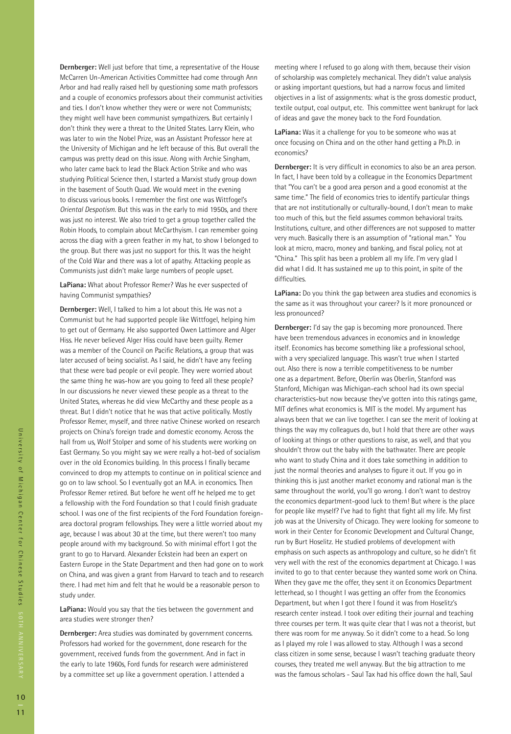**Dernberger:** Well just before that time, a representative of the House McCarren Un-American Activities Committee had come through Ann Arbor and had really raised hell by questioning some math professors and a couple of economics professors about their communist activities and ties. I don't know whether they were or were not Communists; they might well have been communist sympathizers. But certainly I don't think they were a threat to the United States. Larry Klein, who was later to win the Nobel Prize, was an Assistant Professor here at the University of Michigan and he left because of this. But overall the campus was pretty dead on this issue. Along with Archie Singham, who later came back to lead the Black Action Strike and who was studying Political Science then, I started a Marxist study group down in the basement of South Quad. We would meet in the evening to discuss various books. I remember the first one was Wittfogel's *Oriental Despotism*. But this was in the early to mid 1950s, and there was just no interest. We also tried to get a group together called the Robin Hoods, to complain about McCarthyism. I can remember going across the diag with a green feather in my hat, to show I belonged to the group. But there was just no support for this. It was the height of the Cold War and there was a lot of apathy. Attacking people as Communists just didn't make large numbers of people upset.

**LaPiana:** What about Professor Remer? Was he ever suspected of having Communist sympathies?

**Dernberger:** Well, I talked to him a lot about this. He was not a Communist but he had supported people like Wittfogel, helping him to get out of Germany. He also supported Owen Lattimore and Alger Hiss. He never believed Alger Hiss could have been guilty. Remer was a member of the Council on Pacific Relations, a group that was later accused of being socialist. As I said, he didn't have any feeling that these were bad people or evil people. They were worried about the same thing he was-how are you going to feed all these people? In our discussions he never viewed these people as a threat to the United States, whereas he did view McCarthy and these people as a threat. But I didn't notice that he was that active politically. Mostly Professor Remer, myself, and three native Chinese worked on research projects on China's foreign trade and domestic economy. Across the hall from us, Wolf Stolper and some of his students were working on East Germany. So you might say we were really a hot-bed of socialism over in the old Economics building. In this process I finally became convinced to drop my attempts to continue on in political science and go on to law school. So I eventually got an M.A. in economics. Then Professor Remer retired. But before he went off he helped me to get a fellowship with the Ford Foundation so that I could finish graduate school. I was one of the first recipients of the Ford Foundation foreignarea doctoral program fellowships. They were a little worried about my age, because I was about 30 at the time, but there weren't too many people around with my background. So with minimal effort I got the grant to go to Harvard. Alexander Eckstein had been an expert on Eastern Europe in the State Department and then had gone on to work on China, and was given a grant from Harvard to teach and to research there. I had met him and felt that he would be a reasonable person to study under.

**LaPiana:** Would you say that the ties between the government and area studies were stronger then?

**Dernberger:** Area studies was dominated by government concerns. Professors had worked for the government, done research for the government, received funds from the government. And in fact in the early to late 1960s, Ford funds for research were administered by a committee set up like a government operation. I attended a

meeting where I refused to go along with them, because their vision of scholarship was completely mechanical. They didn't value analysis or asking important questions, but had a narrow focus and limited objectives in a list of assignments: what is the gross domestic product, textile output, coal output, etc. This committee went bankrupt for lack of ideas and gave the money back to the Ford Foundation.

**LaPiana:** Was it a challenge for you to be someone who was at once focusing on China and on the other hand getting a Ph.D. in economics?

**Dernberger:** It is very difficult in economics to also be an area person. In fact, I have been told by a colleague in the Economics Department that "You can't be a good area person and a good economist at the same time." The field of economics tries to identify particular things that are not institutionally or culturally-bound, I don't mean to make too much of this, but the field assumes common behavioral traits. Institutions, culture, and other differences are not supposed to matter very much. Basically there is an assumption of "rational man." You look at micro, macro, money and banking, and fiscal policy, not at "China." This split has been a problem all my life. I'm very glad I did what I did. It has sustained me up to this point, in spite of the difficulties.

**LaPiana:** Do you think the gap between area studies and economics is the same as it was throughout your career? Is it more pronounced or less pronounced?

**Dernberger:** I'd say the gap is becoming more pronounced. There have been tremendous advances in economics and in knowledge itself. Economics has become something like a professional school, with a very specialized language. This wasn't true when I started out. Also there is now a terrible competitiveness to be number one as a department. Before, Oberlin was Oberlin, Stanford was Stanford, Michigan was Michigan-each school had its own special characteristics-but now because they've gotten into this ratings game, MIT defines what economics is. MIT is the model. My argument has always been that we can live together. I can see the merit of looking at things the way my colleagues do, but I hold that there are other ways of looking at things or other questions to raise, as well, and that you shouldn't throw out the baby with the bathwater. There are people who want to study China and it does take something in addition to just the normal theories and analyses to figure it out. If you go in thinking this is just another market economy and rational man is the same throughout the world, you'll go wrong. I don't want to destroy the economics department-good luck to them! But where is the place for people like myself? I've had to fight that fight all my life. My first job was at the University of Chicago. They were looking for someone to work in their Center for Economic Development and Cultural Change, run by Burt Hoselitz. He studied problems of development with emphasis on such aspects as anthropology and culture, so he didn't fit very well with the rest of the economics department at Chicago. I was invited to go to that center because they wanted some work on China. When they gave me the offer, they sent it on Economics Department letterhead, so I thought I was getting an offer from the Economics Department, but when I got there I found it was from Hoselitz's research center instead. I took over editing their journal and teaching three courses per term. It was quite clear that I was not a theorist, but there was room for me anyway. So it didn't come to a head. So long as I played my role I was allowed to stay. Although I was a second class citizen in some sense, because I wasn't teaching graduate theory courses, they treated me well anyway. But the big attraction to me was the famous scholars - Saul Tax had his office down the hall, Saul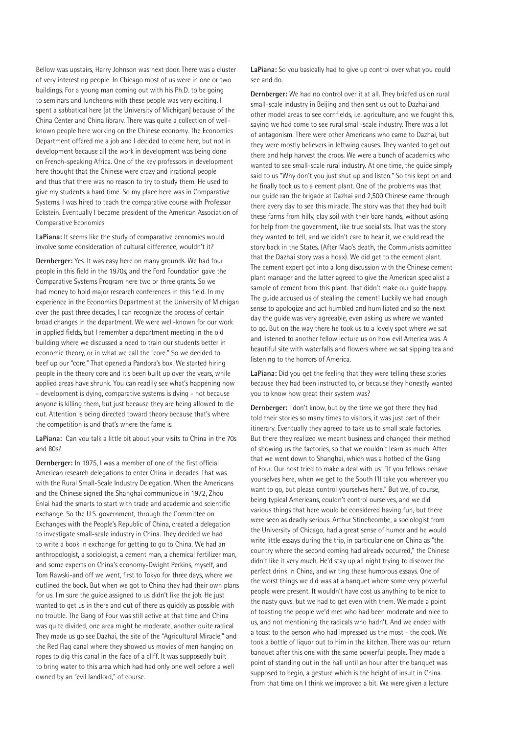Bellow was upstairs, Harry Johnson was next door. There was a cluster of very interesting people. In Chicago most of us were in one or two buildings. For a young man coming out with his Ph.D. to be going to seminars and luncheons with these people was very exciting. I spent a sabbatical here [at the University of Michigan] because of the China Center and China library. There was quite a collection of wellknown people here working on the Chinese economy. The Economics Department offered me a job and I decided to come here, but not in development because all the work in development was being done on French-speaking Africa. One of the key professors in development here thought that the Chinese were crazy and irrational people and thus that there was no reason to try to study them. He used to give my students a hard time. So my place here was in Comparative Systems. I was hired to teach the comparative course with Professor Eckstein. Eventually I became president of the American Association of Comparative Economics

**LaPiana:** It seems like the study of comparative economics would involve some consideration of cultural difference, wouldn't it?

**Dernberger:** Yes. It was easy here on many grounds. We had four people in this field in the 1970s, and the Ford Foundation gave the Comparative Systems Program here two or three grants. So we had money to hold major research conferences in this field. In my experience in the Economics Department at the University of Michigan over the past three decades, I can recognize the process of certain broad changes in the department. We were well-known for our work in applied fields, but I remember a department meeting in the old building where we discussed a need to train our students better in economic theory, or in what we call the "core." So we decided to beef up our "core." That opened a Pandora's box. We started hiring people in the theory core and it's been built up over the years, while applied areas have shrunk. You can readily see what's happening now - development is dying, comparative systems is dying - not because anyone is killing them, but just because they are being allowed to die out. Attention is being directed toward theory because that's where the competition is and that's where the fame is.

**LaPiana:** Can you talk a little bit about your visits to China in the 70s and 80s?

**Dernberger:** In 1975, I was a member of one of the first official American research delegations to enter China in decades. That was with the Rural Small-Scale Industry Delegation. When the Americans and the Chinese signed the Shanghai communique in 1972, Zhou Enlai had the smarts to start with trade and academic and scientific exchange. So the U.S. government, through the Committee on Exchanges with the People's Republic of China, created a delegation to investigate small-scale industry in China. They decided we had to write a book in exchange for getting to go to China. We had an anthropologist, a sociologist, a cement man, a chemical fertilizer man, and some experts on China's economy-Dwight Perkins, myself, and Tom Rawski-and off we went, first to Tokyo for three days, where we outlined the book. But when we got to China they had their own plans for us. I'm sure the guide assigned to us didn't like the job. He just wanted to get us in there and out of there as quickly as possible with no trouble. The Gang of Four was still active at that time and China was quite divided, one area might be moderate, another quite radical They made us go see Dazhai, the site of the "Agricultural Miracle," and the Red Flag canal where they showed us movies of men hanging on ropes to dig this canal in the face of a cliff. It was supposedly built to bring water to this area which had had only one well before a well owned by an "evil landlord," of course.

**LaPiana:** So you basically had to give up control over what you could see and do.

**Dernberger:** We had no control over it at all. They briefed us on rural small-scale industry in Beijing and then sent us out to Dazhai and other model areas to see cornfields, i.e. agriculture, and we fought this, saying we had come to see rural small-scale industry. There was a lot of antagonism. There were other Americans who came to Dazhai, but they were mostly believers in leftwing causes. They wanted to get out there and help harvest the crops. We were a bunch of academics who wanted to see small-scale rural industry. At one time, the guide simply said to us "Why don't you just shut up and listen." So this kept on and he finally took us to a cement plant. One of the problems was that our guide ran the brigade at Dazhai and 2,500 Chinese came through there every day to see this miracle. The story was that they had built these farms from hilly, clay soil with their bare hands, without asking for help from the government, like true socialists. That was the story they wanted to tell, and we didn't care to hear it, we could read the story back in the States. (After Mao's death, the Communists admitted that the Dazhai story was a hoax). We did get to the cement plant. The cement expert got into a long discussion with the Chinese cement plant manager and the latter agreed to give the American specialist a sample of cement from this plant. That didn't make our guide happy. The guide accused us of stealing the cement! Luckily we had enough sense to apologize and act humbled and humiliated and so the next day the guide was very agreeable, even asking us where we wanted to go. But on the way there he took us to a lovely spot where we sat and listened to another fellow lecture us on how evil America was. A beautiful site with waterfalls and flowers where we sat sipping tea and listening to the horrors of America.

**LaPiana:** Did you get the feeling that they were telling these stories because they had been instructed to, or because they honestly wanted you to know how great their system was?

**Dernberger:** I don't know, but by the time we got there they had told their stories so many times to visitors, it was just part of their itinerary. Eventually they agreed to take us to small scale factories. But there they realized we meant business and changed their method of showing us the factories, so that we couldn't learn as much. After that we went down to Shanghai, which was a hotbed of the Gang of Four. Our host tried to make a deal with us: "If you fellows behave yourselves here, when we get to the South I'll take you wherever you want to go, but please control yourselves here." But we, of course, being typical Americans, couldn't control ourselves, and we did various things that here would be considered having fun, but there were seen as deadly serious. Arthur Stinchcombe, a sociologist from the University of Chicago, had a great sense of humor and he would write little essays during the trip, in particular one on China as "the country where the second coming had already occurred," the Chinese didn't like it very much. He'd stay up all night trying to discover the perfect drink in China, and writing these humorous essays. One of the worst things we did was at a banquet where some very powerful people were present. It wouldn't have cost us anything to be nice to the nasty guys, but we had to get even with them. We made a point of toasting the people we'd met who had been moderate and nice to us, and not mentioning the radicals who hadn't. And we ended with a toast to the person who had impressed us the most - the cook. We took a bottle of liquor out to him in the kitchen. There was our return banquet after this one with the same powerful people. They made a point of standing out in the hall until an hour after the banquet was supposed to begin, a gesture which is the height of insult in China. From that time on I think we improved a bit. We were given a lecture